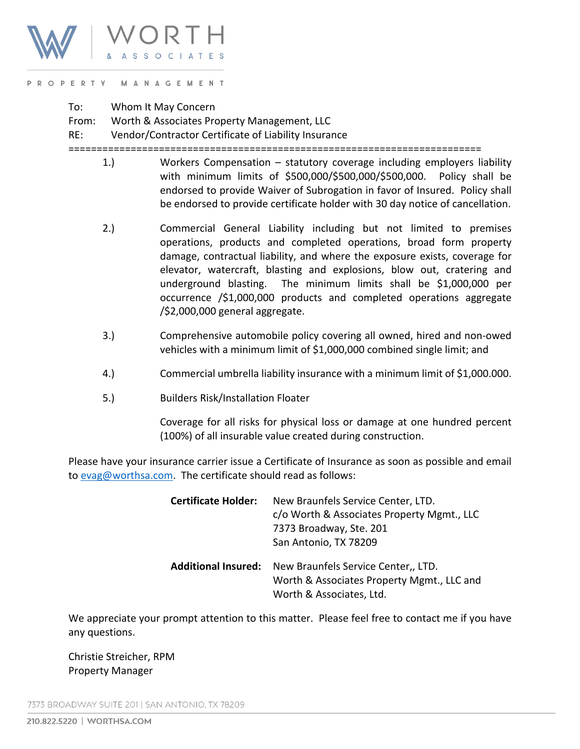

## PROPERTY MANAGEMENT

To: Whom It May Concern

From: Worth & Associates Property Management, LLC

RE: Vendor/Contractor Certificate of Liability Insurance

=========================================================================

- 1.) Workers Compensation statutory coverage including employers liability with minimum limits of \$500,000/\$500,000/\$500,000. Policy shall be endorsed to provide Waiver of Subrogation in favor of Insured. Policy shall be endorsed to provide certificate holder with 30 day notice of cancellation.
- 2.) Commercial General Liability including but not limited to premises operations, products and completed operations, broad form property damage, contractual liability, and where the exposure exists, coverage for elevator, watercraft, blasting and explosions, blow out, cratering and underground blasting. The minimum limits shall be \$1,000,000 per occurrence /\$1,000,000 products and completed operations aggregate /\$2,000,000 general aggregate.
- 3.) Comprehensive automobile policy covering all owned, hired and non-owed vehicles with a minimum limit of \$1,000,000 combined single limit; and
- 4.) Commercial umbrella liability insurance with a minimum limit of \$1,000.000.
- 5.) Builders Risk/Installation Floater

Coverage for all risks for physical loss or damage at one hundred percent (100%) of all insurable value created during construction.

Please have your insurance carrier issue a Certificate of Insurance as soon as possible and email to [evag@worthsa.com.](mailto:evag@worthsa.com) The certificate should read as follows:

| <b>Certificate Holder:</b> | New Braunfels Service Center, LTD.<br>c/o Worth & Associates Property Mgmt., LLC<br>7373 Broadway, Ste. 201<br>San Antonio, TX 78209 |
|----------------------------|--------------------------------------------------------------------------------------------------------------------------------------|
| <b>Additional Insured:</b> | New Braunfels Service Center,, LTD.<br>Worth & Associates Property Mgmt., LLC and<br>Worth & Associates, Ltd.                        |

We appreciate your prompt attention to this matter. Please feel free to contact me if you have any questions.

Christie Streicher, RPM Property Manager